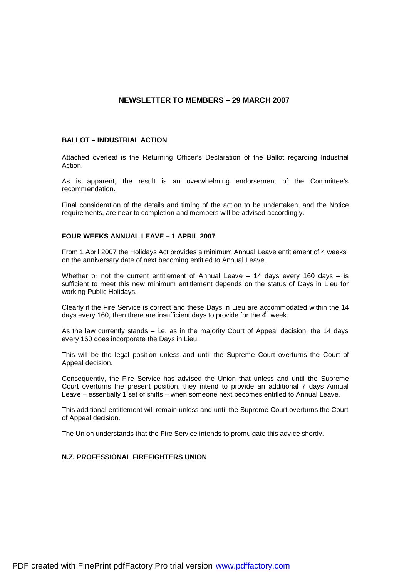# **NEWSLETTER TO MEMBERS – 29 MARCH 2007**

#### **BALLOT – INDUSTRIAL ACTION**

Attached overleaf is the Returning Officer's Declaration of the Ballot regarding Industrial Action.

As is apparent, the result is an overwhelming endorsement of the Committee's recommendation.

Final consideration of the details and timing of the action to be undertaken, and the Notice requirements, are near to completion and members will be advised accordingly.

#### **FOUR WEEKS ANNUAL LEAVE – 1 APRIL 2007**

From 1 April 2007 the Holidays Act provides a minimum Annual Leave entitlement of 4 weeks on the anniversary date of next becoming entitled to Annual Leave.

Whether or not the current entitlement of Annual Leave  $-14$  days every 160 days  $-$  is sufficient to meet this new minimum entitlement depends on the status of Days in Lieu for working Public Holidays.

Clearly if the Fire Service is correct and these Days in Lieu are accommodated within the 14 days every 160, then there are insufficient days to provide for the  $4<sup>th</sup>$  week.

As the law currently stands  $-$  i.e. as in the majority Court of Appeal decision, the 14 days every 160 does incorporate the Days in Lieu.

This will be the legal position unless and until the Supreme Court overturns the Court of Appeal decision.

Consequently, the Fire Service has advised the Union that unless and until the Supreme Court overturns the present position, they intend to provide an additional 7 days Annual Leave – essentially 1 set of shifts – when someone next becomes entitled to Annual Leave.

This additional entitlement will remain unless and until the Supreme Court overturns the Court of Appeal decision.

The Union understands that the Fire Service intends to promulgate this advice shortly.

### **N.Z. PROFESSIONAL FIREFIGHTERS UNION**